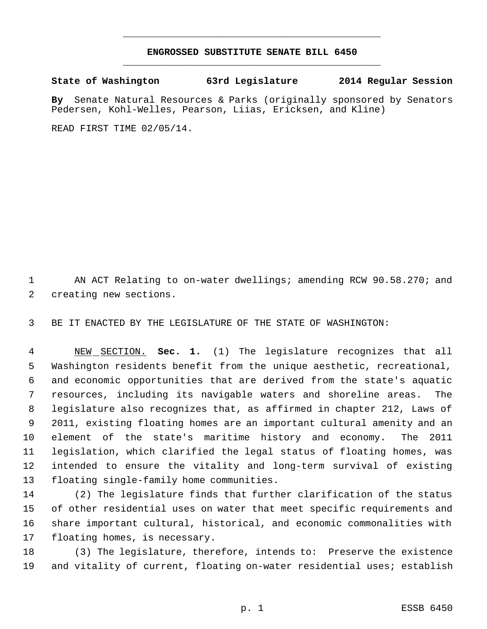## **ENGROSSED SUBSTITUTE SENATE BILL 6450** \_\_\_\_\_\_\_\_\_\_\_\_\_\_\_\_\_\_\_\_\_\_\_\_\_\_\_\_\_\_\_\_\_\_\_\_\_\_\_\_\_\_\_\_\_

\_\_\_\_\_\_\_\_\_\_\_\_\_\_\_\_\_\_\_\_\_\_\_\_\_\_\_\_\_\_\_\_\_\_\_\_\_\_\_\_\_\_\_\_\_

**State of Washington 63rd Legislature 2014 Regular Session**

**By** Senate Natural Resources & Parks (originally sponsored by Senators Pedersen, Kohl-Welles, Pearson, Liias, Ericksen, and Kline)

READ FIRST TIME 02/05/14.

1 AN ACT Relating to on-water dwellings; amending RCW 90.58.270; and creating new sections.

BE IT ENACTED BY THE LEGISLATURE OF THE STATE OF WASHINGTON:

 NEW SECTION. **Sec. 1.** (1) The legislature recognizes that all Washington residents benefit from the unique aesthetic, recreational, and economic opportunities that are derived from the state's aquatic resources, including its navigable waters and shoreline areas. The legislature also recognizes that, as affirmed in chapter 212, Laws of 2011, existing floating homes are an important cultural amenity and an element of the state's maritime history and economy. The 2011 legislation, which clarified the legal status of floating homes, was intended to ensure the vitality and long-term survival of existing floating single-family home communities.

 (2) The legislature finds that further clarification of the status of other residential uses on water that meet specific requirements and share important cultural, historical, and economic commonalities with floating homes, is necessary.

 (3) The legislature, therefore, intends to: Preserve the existence and vitality of current, floating on-water residential uses; establish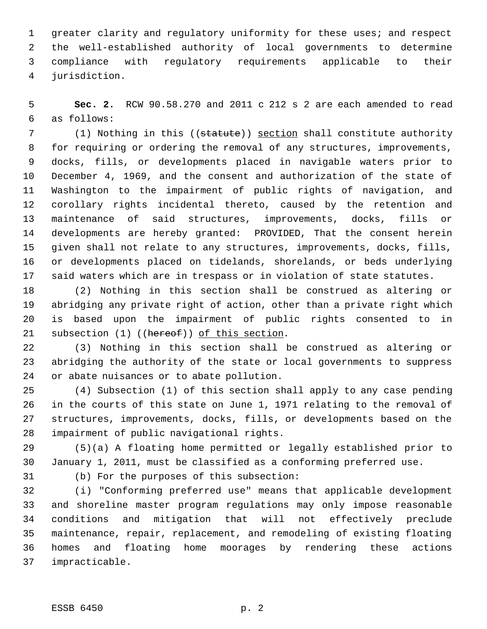greater clarity and regulatory uniformity for these uses; and respect the well-established authority of local governments to determine compliance with regulatory requirements applicable to their jurisdiction.

 **Sec. 2.** RCW 90.58.270 and 2011 c 212 s 2 are each amended to read as follows:

7 (1) Nothing in this ((statute)) section shall constitute authority for requiring or ordering the removal of any structures, improvements, docks, fills, or developments placed in navigable waters prior to December 4, 1969, and the consent and authorization of the state of Washington to the impairment of public rights of navigation, and corollary rights incidental thereto, caused by the retention and maintenance of said structures, improvements, docks, fills or developments are hereby granted: PROVIDED, That the consent herein given shall not relate to any structures, improvements, docks, fills, or developments placed on tidelands, shorelands, or beds underlying said waters which are in trespass or in violation of state statutes.

 (2) Nothing in this section shall be construed as altering or abridging any private right of action, other than a private right which is based upon the impairment of public rights consented to in 21 subsection (1) ((hereof)) of this section.

 (3) Nothing in this section shall be construed as altering or abridging the authority of the state or local governments to suppress or abate nuisances or to abate pollution.

 (4) Subsection (1) of this section shall apply to any case pending in the courts of this state on June 1, 1971 relating to the removal of structures, improvements, docks, fills, or developments based on the impairment of public navigational rights.

 (5)(a) A floating home permitted or legally established prior to January 1, 2011, must be classified as a conforming preferred use.

(b) For the purposes of this subsection:

 (i) "Conforming preferred use" means that applicable development and shoreline master program regulations may only impose reasonable conditions and mitigation that will not effectively preclude maintenance, repair, replacement, and remodeling of existing floating homes and floating home moorages by rendering these actions impracticable.